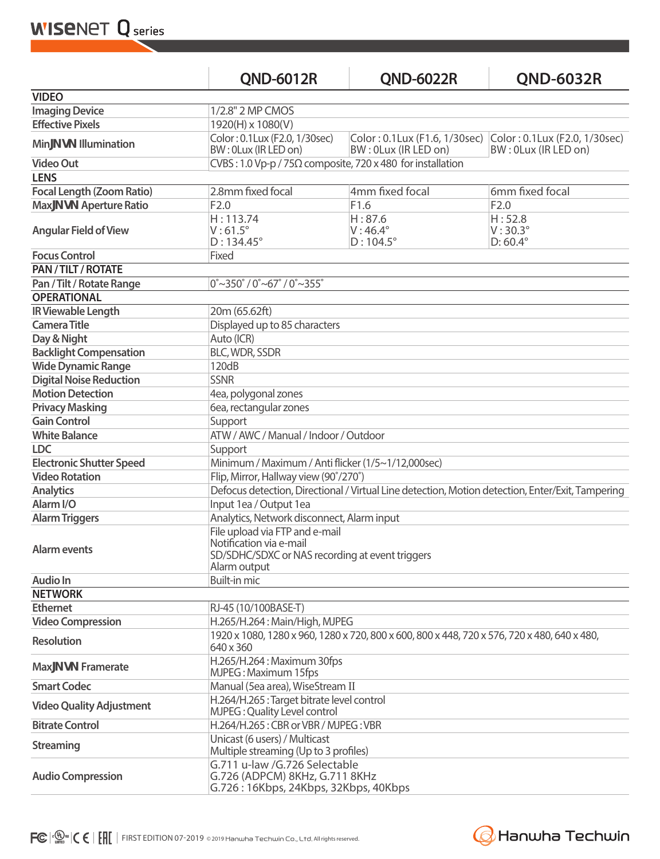**WISENET Q** series

|                                  | <b>QND-6012R</b>                                                                                                             | <b>QND-6022R</b>                               | <b>QND-6032R</b>                                                                    |  |
|----------------------------------|------------------------------------------------------------------------------------------------------------------------------|------------------------------------------------|-------------------------------------------------------------------------------------|--|
| <b>VIDEO</b>                     |                                                                                                                              |                                                |                                                                                     |  |
| <b>Imaging Device</b>            | 1/2.8" 2 MP CMOS                                                                                                             |                                                |                                                                                     |  |
| <b>Effective Pixels</b>          | 1920(H) x 1080(V)                                                                                                            |                                                |                                                                                     |  |
| Min[ g_ Illumination             | Color: 0.1Lux (F2.0, 1/30sec)<br>BW: 0Lux (IR LED on)                                                                        | BW: 0Lux (IR LED on)                           | Color: 0.1Lux (F1.6, 1/30sec) Color: 0.1Lux (F2.0, 1/30sec)<br>BW: 0Lux (IR LED on) |  |
| <b>Video Out</b>                 | CVBS: 1.0 Vp-p / 75 $\Omega$ composite, 720 x 480 for installation                                                           |                                                |                                                                                     |  |
| <b>LENS</b>                      |                                                                                                                              |                                                |                                                                                     |  |
| <b>Focal Length (Zoom Ratio)</b> | 2.8mm fixed focal                                                                                                            | 4mm fixed focal                                | 6mm fixed focal                                                                     |  |
| Max[ g Aperture Ratio            | F2.0                                                                                                                         | F1.6                                           | F2.0                                                                                |  |
| <b>Angular Field of View</b>     | H: 113.74<br>$V:61.5^\circ$<br>$D: 134.45^{\circ}$                                                                           | H: 87.6<br>$V:46.4^\circ$<br>$D:104.5^{\circ}$ | H:52.8<br>$V:30.3^\circ$<br>$D: 60.4^{\circ}$                                       |  |
| <b>Focus Control</b>             | Fixed                                                                                                                        |                                                |                                                                                     |  |
| PAN / TILT / ROTATE              |                                                                                                                              |                                                |                                                                                     |  |
| Pan / Tilt / Rotate Range        | $0^{\circ}$ ~350 $^{\circ}$ / 0 $^{\circ}$ ~67 $^{\circ}$ / 0 $^{\circ}$ ~355 $^{\circ}$                                     |                                                |                                                                                     |  |
| <b>OPERATIONAL</b>               |                                                                                                                              |                                                |                                                                                     |  |
| IR Viewable Length               | 20m (65.62ft)                                                                                                                |                                                |                                                                                     |  |
| <b>Camera Title</b>              | Displayed up to 85 characters                                                                                                |                                                |                                                                                     |  |
| Day & Night                      | Auto (ICR)                                                                                                                   |                                                |                                                                                     |  |
| <b>Backlight Compensation</b>    | <b>BLC, WDR, SSDR</b>                                                                                                        |                                                |                                                                                     |  |
| <b>Wide Dynamic Range</b>        | 120dB                                                                                                                        |                                                |                                                                                     |  |
| <b>Digital Noise Reduction</b>   | <b>SSNR</b>                                                                                                                  |                                                |                                                                                     |  |
| <b>Motion Detection</b>          | 4ea, polygonal zones                                                                                                         |                                                |                                                                                     |  |
| <b>Privacy Masking</b>           | 6ea, rectangular zones                                                                                                       |                                                |                                                                                     |  |
| <b>Gain Control</b>              | Support                                                                                                                      |                                                |                                                                                     |  |
| <b>White Balance</b>             | ATW / AWC / Manual / Indoor / Outdoor                                                                                        |                                                |                                                                                     |  |
| <b>LDC</b>                       | Support                                                                                                                      |                                                |                                                                                     |  |
| <b>Electronic Shutter Speed</b>  | Minimum / Maximum / Anti flicker (1/5~1/12,000sec)                                                                           |                                                |                                                                                     |  |
| <b>Video Rotation</b>            | Flip, Mirror, Hallway view (90°/270°)                                                                                        |                                                |                                                                                     |  |
| <b>Analytics</b>                 | Defocus detection, Directional / Virtual Line detection, Motion detection, Enter/Exit, Tampering                             |                                                |                                                                                     |  |
| Alarm I/O                        | Input 1ea / Output 1ea                                                                                                       |                                                |                                                                                     |  |
| <b>Alarm Triggers</b>            | Analytics, Network disconnect, Alarm input                                                                                   |                                                |                                                                                     |  |
| <b>Alarm events</b>              | File upload via FTP and e-mail<br>Notification via e-mail<br>SD/SDHC/SDXC or NAS recording at event triggers<br>Alarm output |                                                |                                                                                     |  |
| Audio In                         | Built-in mic                                                                                                                 |                                                |                                                                                     |  |
| <b>NETWORK</b>                   |                                                                                                                              |                                                |                                                                                     |  |
| <b>Ethernet</b>                  | RJ-45 (10/100BASE-T)                                                                                                         |                                                |                                                                                     |  |
| <b>Video Compression</b>         | H.265/H.264: Main/High, MJPEG                                                                                                |                                                |                                                                                     |  |
| <b>Resolution</b>                | 1920 x 1080, 1280 x 960, 1280 x 720, 800 x 600, 800 x 448, 720 x 576, 720 x 480, 640 x 480,<br>640 x 360                     |                                                |                                                                                     |  |
| Max[ g Framerate                 | H.265/H.264: Maximum 30fps<br>MJPEG: Maximum 15fps                                                                           |                                                |                                                                                     |  |
| <b>Smart Codec</b>               | Manual (5ea area), WiseStream II                                                                                             |                                                |                                                                                     |  |
| <b>Video Quality Adjustment</b>  | H.264/H.265 : Target bitrate level control<br>MJPEG: Quality Level control                                                   |                                                |                                                                                     |  |
| <b>Bitrate Control</b>           | H.264/H.265: CBR or VBR / MJPEG: VBR                                                                                         |                                                |                                                                                     |  |
| <b>Streaming</b>                 | Unicast (6 users) / Multicast<br>Multiple streaming (Up to 3 profiles)                                                       |                                                |                                                                                     |  |
| <b>Audio Compression</b>         | G.711 u-law /G.726 Selectable<br>G.726 (ADPCM) 8KHz, G.711 8KHz<br>G.726: 16Kbps, 24Kbps, 32Kbps, 40Kbps                     |                                                |                                                                                     |  |